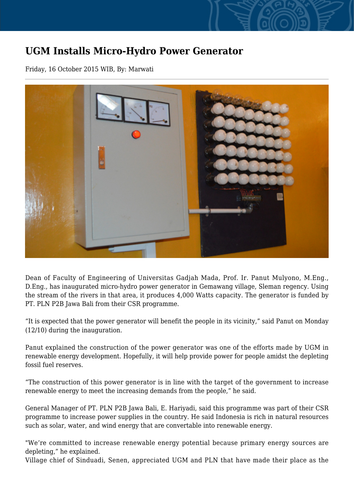## **UGM Installs Micro-Hydro Power Generator**

Friday, 16 October 2015 WIB, By: Marwati



Dean of Faculty of Engineering of Universitas Gadjah Mada, Prof. Ir. Panut Mulyono, M.Eng., D.Eng., has inaugurated micro-hydro power generator in Gemawang village, Sleman regency. Using the stream of the rivers in that area, it produces 4,000 Watts capacity. The generator is funded by PT. PLN P2B Jawa Bali from their CSR programme.

"It is expected that the power generator will benefit the people in its vicinity," said Panut on Monday (12/10) during the inauguration.

Panut explained the construction of the power generator was one of the efforts made by UGM in renewable energy development. Hopefully, it will help provide power for people amidst the depleting fossil fuel reserves.

"The construction of this power generator is in line with the target of the government to increase renewable energy to meet the increasing demands from the people," he said.

General Manager of PT. PLN P2B Jawa Bali, E. Hariyadi, said this programme was part of their CSR programme to increase power supplies in the country. He said Indonesia is rich in natural resources such as solar, water, and wind energy that are convertable into renewable energy.

"We're committed to increase renewable energy potential because primary energy sources are depleting," he explained.

Village chief of Sinduadi, Senen, appreciated UGM and PLN that have made their place as the